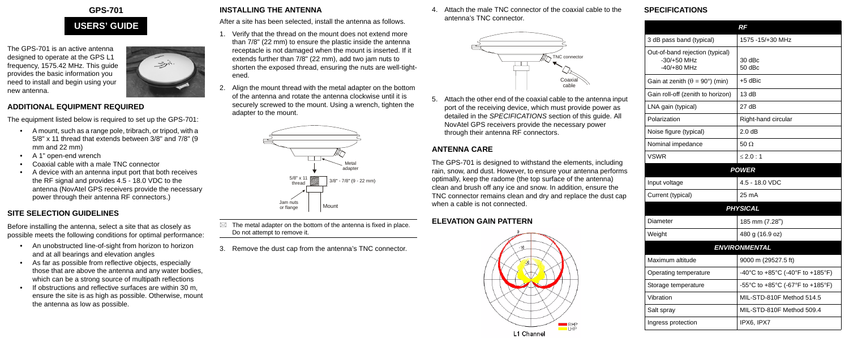# **GPS-701**

The GPS-701 is an active antenna designed to operate at the GPS L1 frequency, 1575.42 MHz. This guide provides the basic information you need to install and begin using your new antenna.



#### **ADDITIONAL EQUIPMENT REQUIRED**

The equipment listed below is required to set up the GPS-701:

- A mount, such as a range pole, tribrach, or tripod, with a 5/8" x 11 thread that extends between 3/8" and 7/8" (9 mm and 22 mm)
- A 1" open-end wrench
- Coaxial cable with a male TNC connector
- A device with an antenna input port that both receives the RF signal and provides 4.5 - 18.0 VDC to the antenna (NovAtel GPS receivers provide the necessary power through their antenna RF connectors.)

# **SITE SELECTION GUIDELINES**

Before installing the antenna, select a site that as closely as possible meets the following conditions for optimal performance:  $\boxtimes$  The metal adapter on the bottom of the antenna is fixed in place. Do not attempt to remove it.

- An unobstructed line-of-sight from horizon to horizon and at all bearings and elevation angles
- As far as possible from reflective objects, especially those that are above the antenna and any water bodies, which can be a strong source of multipath reflections
- If obstructions and reflective surfaces are within 30 m, ensure the site is as high as possible. Otherwise, mount the antenna as low as possible.

# **INSTALLING THE ANTENNA**

After a site has been selected, install the antenna as follows.

- 1. Verify that the thread on the mount does not extend more than 7/8" (22 mm) to ensure the plastic inside the antenna receptacle is not damaged when the mount is inserted. If it extends further than 7/8" (22 mm), add two jam nuts to shorten the exposed thread, ensuring the nuts are well-tightened.
- Align the mount thread with the metal adapter on the bottom of the antenna and rotate the antenna clockwise until it is securely screwed to the mount. Using a wrench, tighten the adapter to the mount.

3. Remove the dust cap from the antenna's TNC connector.

4. Attach the male TNC connector of the coaxial cable to the antenna's TNC connector.

5. Attach the other end of the coaxial cable to the antenna input port of the receiving device, which must provide power as detailed in the *SPECIFICATIONS* section of this guide. All NovAtel GPS receivers provide the necessary power through their antenna RF connectors.

# **ANTENNA CARE**

The GPS-701 is designed to withstand the elements, including rain, snow, and dust. However, to ensure your antenna performs optimally, keep the radome (the top surface of the antenna) clean and brush off any ice and snow. In addition, ensure the TNC connector remains clean and dry and replace the dust cap when a cable is not connected.

# **ELEVATION GAIN PATTERN**



### **SPECIFICATIONS**

# **USERS' GUIDE**





|                                                                   | <b>RF</b>                        |
|-------------------------------------------------------------------|----------------------------------|
| 3 dB pass band (typical)                                          | 1575 - 15/+30 MHz                |
| Out-of-band rejection (typical)<br>$-30/+50$ MHz<br>$-40/+80$ MHz | $30$ dBc<br>50 dBc               |
| Gain at zenith ( $\theta = 90^{\circ}$ ) (min)                    | $+5$ dBic                        |
| Gain roll-off (zenith to horizon)                                 | 13 $dB$                          |
| LNA gain (typical)                                                | 27dB                             |
| Polarization                                                      | Right-hand circular              |
| Noise figure (typical)                                            | 2.0 dB                           |
| Nominal impedance                                                 | $50 \Omega$                      |
| <b>VSWR</b>                                                       | $\leq$ 2.0 : 1                   |
| <b>POWER</b>                                                      |                                  |
| Input voltage                                                     | 4.5 - 18.0 VDC                   |
| Current (typical)                                                 | 25 mA                            |
|                                                                   | <b>PHYSICAL</b>                  |
| Diameter                                                          | 185 mm (7.28")                   |
| Weight                                                            | 480 g (16.9 oz)                  |
| <b>ENVIRONMENTAL</b>                                              |                                  |
| Maximum altitude                                                  | 9000 m (29527.5 ft)              |
| Operating temperature                                             | -40°C to +85°C (-40°F to +185°F) |
| Storage temperature                                               | -55°C to +85°C (-67°F to +185°F) |
| Vibration                                                         | MIL-STD-810F Method 514.5        |
| Salt spray                                                        | MIL-STD-810F Method 509.4        |
| Ingress protection                                                | IPX6, IPX7                       |
|                                                                   |                                  |